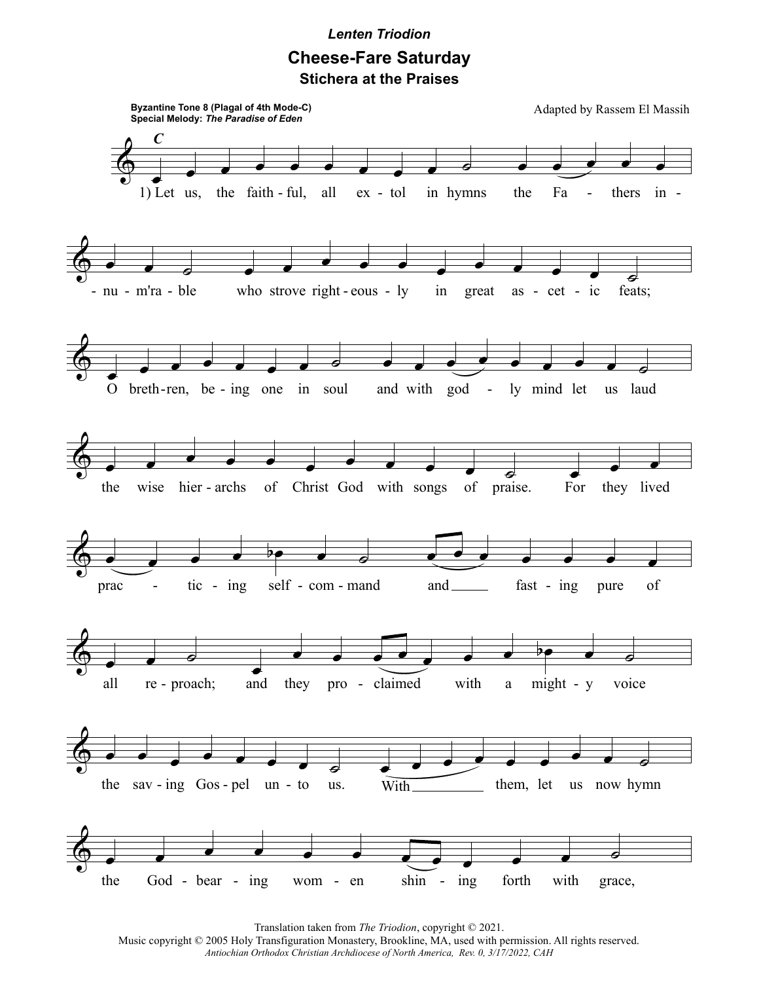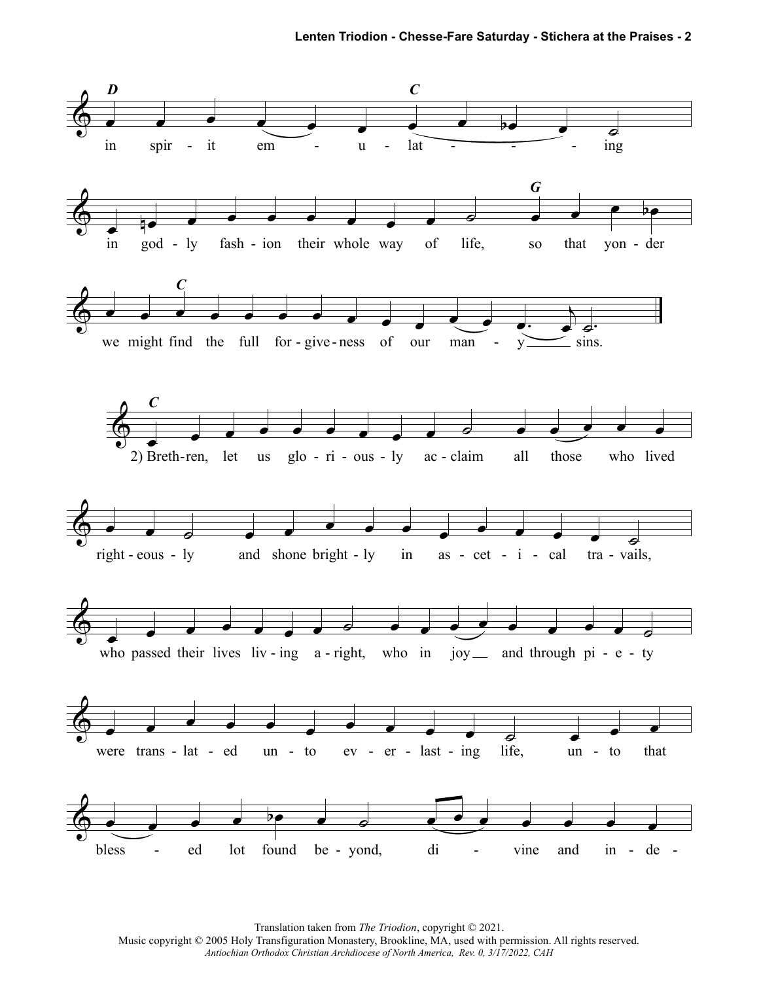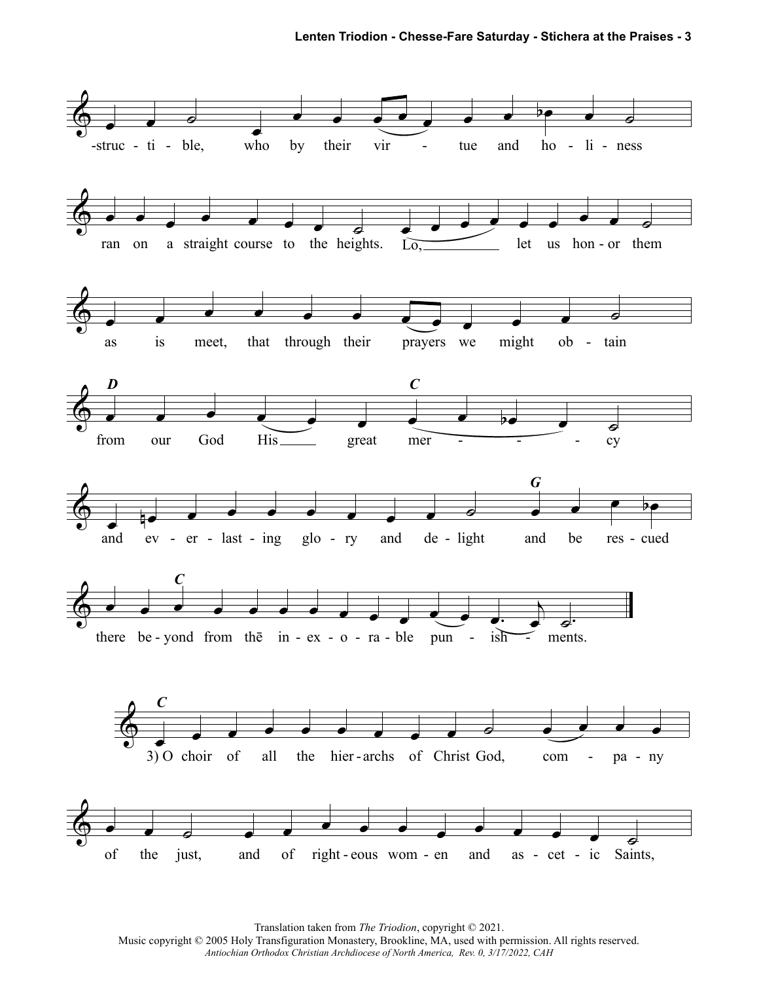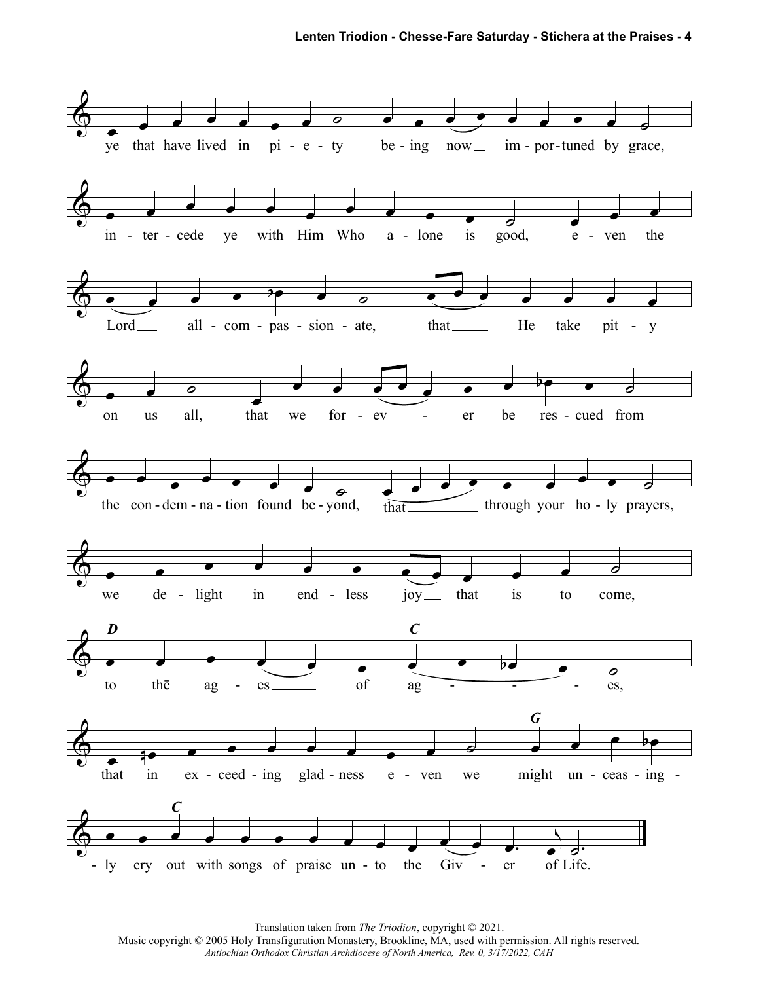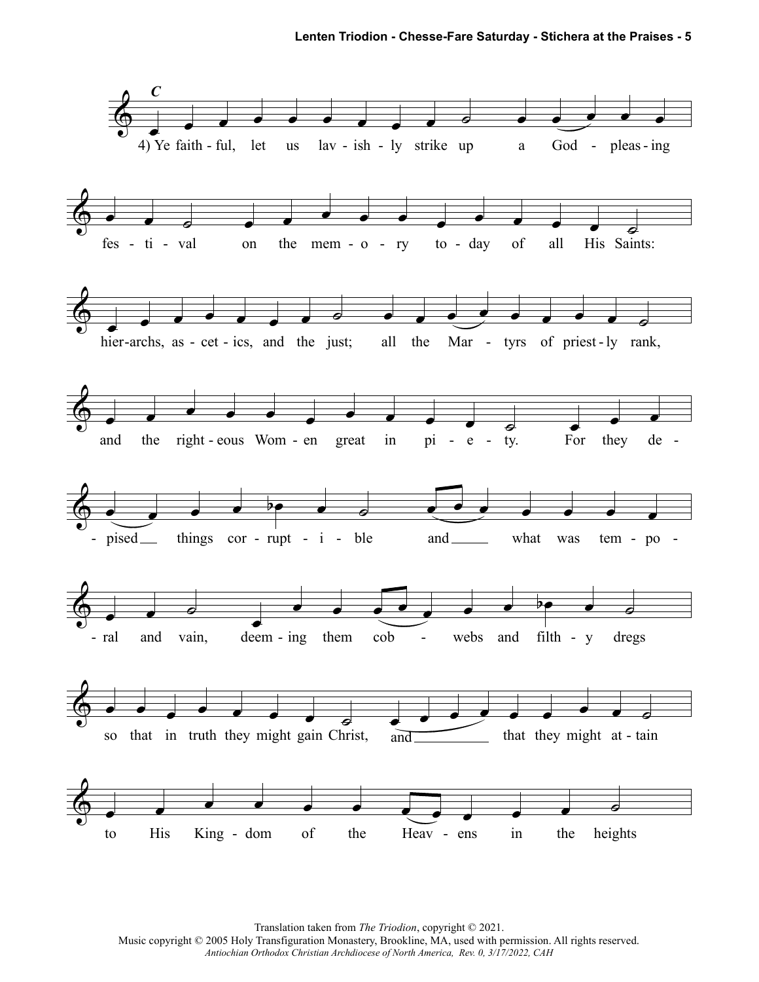